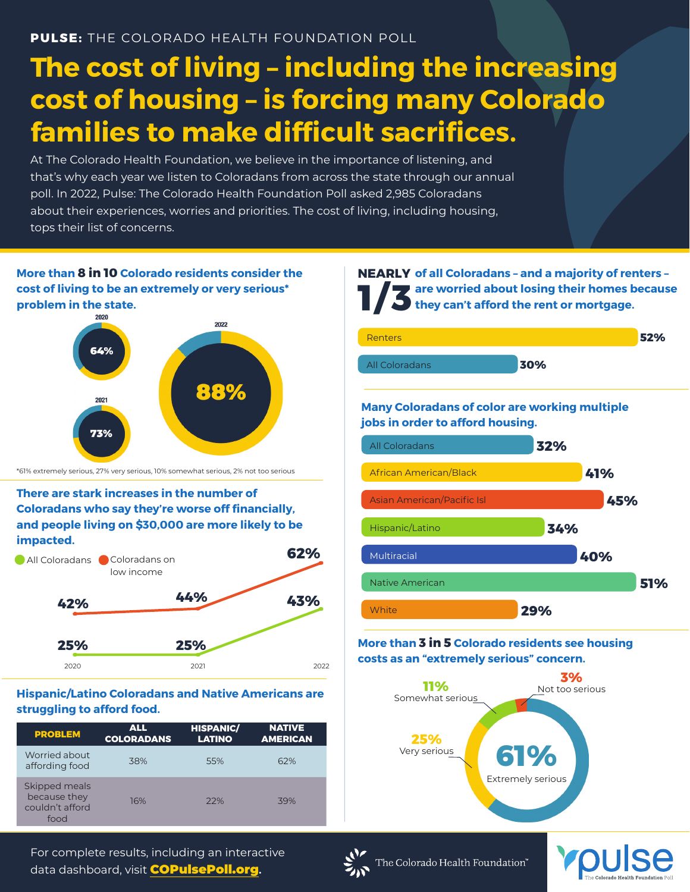# **The cost of living – including the increasing cost of housing – is forcing many Colorado families to make difficult sacrifices.**

At The Colorado Health Foundation, we believe in the importance of listening, and that's why each year we listen to Coloradans from across the state through our annual poll. In 2022, Pulse: The Colorado Health Foundation Poll asked 2,985 Coloradans about their experiences, worries and priorities. The cost of living, including housing, tops their list of concerns.



#### **Hispanic/Latino Coloradans and Native Americans are struggling to afford food.**

| <b>PROBLEM</b>                                           | <b>ALL</b><br><b>COLORADANS</b> | <b>HISPANIC/</b><br><b>LATINO</b> | <b>NATIVE</b><br><b>AMERICAN</b> |
|----------------------------------------------------------|---------------------------------|-----------------------------------|----------------------------------|
| Worried about<br>affording food                          | 38%                             | 55%                               | 62%                              |
| Skipped meals<br>because they<br>couldn't afford<br>food | 16%                             | 22%                               | 39%                              |

**of all Coloradans – and a majority of renters – NEARLY are worried about losing their homes because 1/3** are worried about losing their homes k<br>they can't afford the rent or mortgage.



**Many Coloradans of color are working multiple jobs in order to afford housing.**



#### **More than 3 in 5 Colorado residents see housing costs as an "extremely serious" concern.**



For complete results, including an interactive data dashboard, visit COPulsePoll.org**.**



The Colorado Health Foundation"